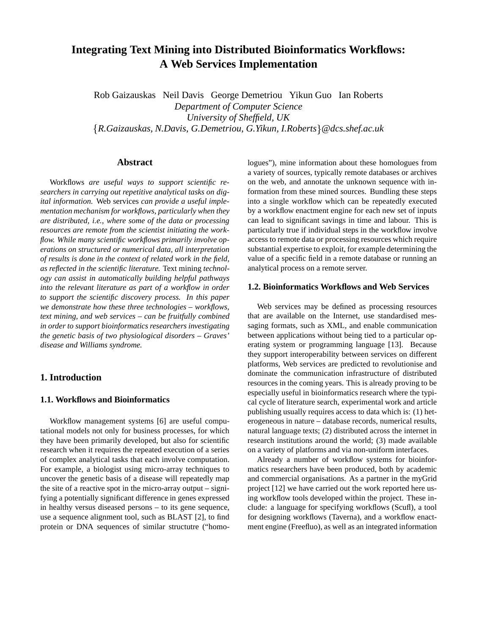# **Integrating Text Mining into Distributed Bioinformatics Workflows: A Web Services Implementation**

Rob Gaizauskas Neil Davis George Demetriou Yikun Guo Ian Roberts *Department of Computer Science University of Sheffield, UK R.Gaizauskas, N.Davis, G.Demetriou, G.Yikun, I.Roberts @dcs.shef.ac.uk*

# **Abstract**

Workflows *are useful ways to support scientific researchers in carrying out repetitive analytical tasks on digital information.* Web services *can provide a useful implementation mechanism for workflows, particularly when they are distributed, i.e., where some of the data or processing resources are remote from the scientist initiating the workflow. While many scientific workflows primarily involve operations on structured or numerical data, all interpretation of results is done in the context of related work in the field, as reflected in the scientific literature.* Text mining *technology can assist in automatically building helpful pathways into the relevant literature as part of a workflow in order to support the scientific discovery process. In this paper we demonstrate how these three technologies – workflows, text mining, and web services – can be fruitfully combined in order to support bioinformatics researchers investigating the genetic basis of two physiological disorders – Graves' disease and Williams syndrome.*

# **1. Introduction**

# **1.1. Workflows and Bioinformatics**

Workflow management systems [6] are useful computational models not only for business processes, for which they have been primarily developed, but also for scientific research when it requires the repeated execution of a series of complex analytical tasks that each involve computation. For example, a biologist using micro-array techniques to uncover the genetic basis of a disease will repeatedly map the site of a reactive spot in the micro-array output – signifying a potentially significant difference in genes expressed in healthy versus diseased persons – to its gene sequence, use a sequence alignment tool, such as BLAST [2], to find protein or DNA sequences of similar structutre ("homologues"), mine information about these homologues from a variety of sources, typically remote databases or archives on the web, and annotate the unknown sequence with information from these mined sources. Bundling these steps into a single workflow which can be repeatedly executed by a workflow enactment engine for each new set of inputs can lead to significant savings in time and labour. This is particularly true if individual steps in the workflow involve access to remote data or processing resources which require substantial expertise to exploit, for example determining the value of a specific field in a remote database or running an analytical process on a remote server.

### **1.2. Bioinformatics Workflows and Web Services**

Web services may be defined as processing resources that are available on the Internet, use standardised messaging formats, such as XML, and enable communication between applications without being tied to a particular operating system or programming language [13]. Because they support interoperability between services on different platforms, Web services are predicted to revolutionise and dominate the communication infrastructure of distributed resources in the coming years. This is already proving to be especially useful in bioinformatics research where the typical cycle of literature search, experimental work and article publishing usually requires access to data which is: (1) heterogeneous in nature – database records, numerical results, natural language texts; (2) distributed across the internet in research institutions around the world; (3) made available on a variety of platforms and via non-uniform interfaces.

Already a number of workflow systems for bioinformatics researchers have been produced, both by academic and commercial organisations. As a partner in the myGrid project [12] we have carried out the work reported here using workflow tools developed within the project. These include: a language for specifying workflows (Scufl), a tool for designing workflows (Taverna), and a workflow enactment engine (Freefluo), as well as an integrated information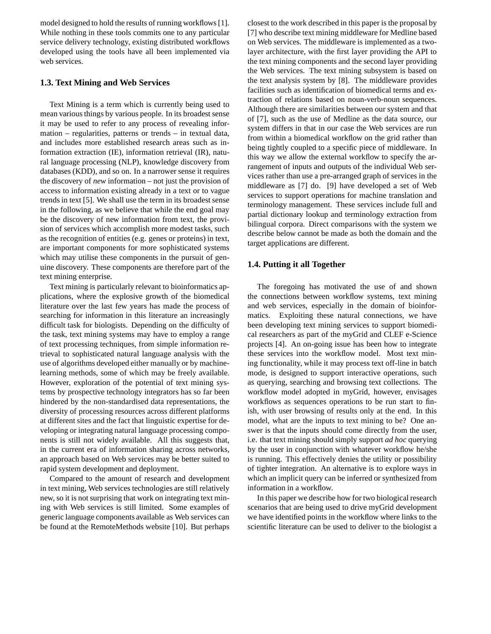model designed to hold the results of running workflows[1]. While nothing in these tools commits one to any particular service delivery technology, existing distributed workflows developed using the tools have all been implemented via web services.

## **1.3. Text Mining and Web Services**

Text Mining is a term which is currently being used to mean various things by various people. In its broadest sense it may be used to refer to any process of revealing information – regularities, patterns or trends – in textual data, and includes more established research areas such as information extraction (IE), information retrieval (IR), natural language processing (NLP), knowledge discovery from databases (KDD), and so on. In a narrower sense it requires the discovery of *new* information – not just the provision of access to information existing already in a text or to vague trends in text [5]. We shall use the term in its broadest sense in the following, as we believe that while the end goal may be the discovery of new information from text, the provision of services which accomplish more modest tasks, such as the recognition of entities (e.g. genes or proteins) in text, are important components for more sophisticated systems which may utilise these components in the pursuit of genuine discovery. These components are therefore part of the text mining enterprise.

Text mining is particularly relevant to bioinformatics applications, where the explosive growth of the biomedical literature over the last few years has made the process of searching for information in this literature an increasingly difficult task for biologists. Depending on the difficulty of the task, text mining systems may have to employ a range of text processing techniques, from simple information retrieval to sophisticated natural language analysis with the use of algorithms developed either manually or by machinelearning methods, some of which may be freely available. However, exploration of the potential of text mining systems by prospective technology integrators has so far been hindered by the non-standardised data representations, the diversity of processing resources across different platforms at different sites and the fact that linguistic expertise for developing or integrating natural language processing components is still not widely available. All this suggests that, in the current era of information sharing across networks, an approach based on Web services may be better suited to rapid system development and deployment.

Compared to the amount of research and development in text mining, Web services technologies are still relatively new, so it is not surprising that work on integrating text mining with Web services is still limited. Some examples of generic language components available as Web services can be found at the RemoteMethods website [10]. But perhaps

closest to the work described in this paper is the proposal by [7] who describe text mining middleware for Medline based on Web services. The middleware is implemented as a twolayer architecture, with the first layer providing the API to the text mining components and the second layer providing the Web services. The text mining subsystem is based on the text analysis system by [8]. The middleware provides facilities such as identification of biomedical terms and extraction of relations based on noun-verb-noun sequences. Although there are similarities between our system and that of [7], such as the use of Medline as the data source, our system differs in that in our case the Web services are run from within a biomedical workflow on the grid rather than being tightly coupled to a specific piece of middleware. In this way we allow the external workflow to specify the arrangement of inputs and outputs of the individual Web services rather than use a pre-arranged graph of services in the middleware as [7] do. [9] have developed a set of Web services to support operations for machine translation and terminology management. These services include full and partial dictionary lookup and terminology extraction from bilingual corpora. Direct comparisons with the system we describe below cannot be made as both the domain and the target applications are different.

#### **1.4. Putting it all Together**

The foregoing has motivated the use of and shown the connections between workflow systems, text mining and web services, especially in the domain of bioinformatics. Exploiting these natural connections, we have been developing text mining services to support biomedical researchers as part of the myGrid and CLEF e-Science projects [4]. An on-going issue has been how to integrate these services into the workflow model. Most text mining functionality, while it may process text off-line in batch mode, is designed to support interactive operations, such as querying, searching and browsing text collections. The workflow model adopted in myGrid, however, envisages workflows as sequences operations to be run start to finish, with user browsing of results only at the end. In this model, what are the inputs to text mining to be? One answer is that the inputs should come directly from the user, i.e. that text mining should simply support *ad hoc* querying by the user in conjunction with whatever workflow he/she is running. This effectively denies the utility or possibility of tighter integration. An alternative is to explore ways in which an implicit query can be inferred or synthesized from information in a workflow.

In this paper we describe how for two biological research scenarios that are being used to drive myGrid development we have identified points in the workflow where links to the scientific literature can be used to deliver to the biologist a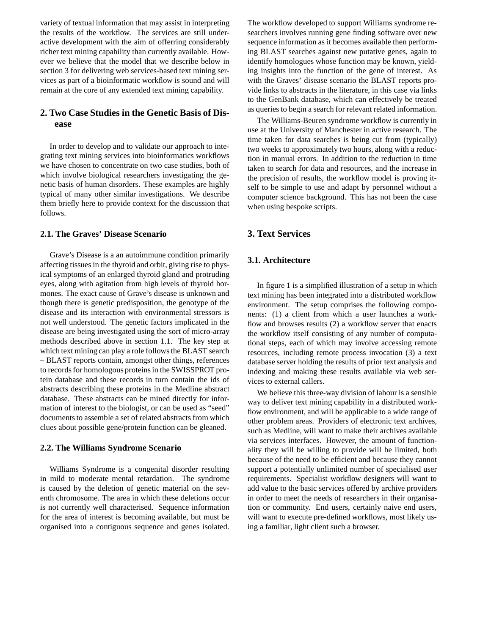variety of textual information that may assist in interpreting the results of the workflow. The services are still underactive development with the aim of offerring considerably richer text mining capability than currently available. However we believe that the model that we describe below in section 3 for delivering web services-based text mining services as part of a bioinformatic workflow is sound and will remain at the core of any extended text mining capability.

# **2. Two Case Studies in the Genetic Basis of Disease**

In order to develop and to validate our approach to integrating text mining services into bioinformatics workflows we have chosen to concentrate on two case studies, both of which involve biological researchers investigating the genetic basis of human disorders. These examples are highly typical of many other similar investigations. We describe them briefly here to provide context for the discussion that follows.

# **2.1. The Graves' Disease Scenario**

Grave's Disease is a an autoimmune condition primarily affecting tissues in the thyroid and orbit, giving rise to physical symptoms of an enlarged thyroid gland and protruding eyes, along with agitation from high levels of thyroid hormones. The exact cause of Grave's disease is unknown and though there is genetic predisposition, the genotype of the disease and its interaction with environmental stressors is not well understood. The genetic factors implicated in the disease are being investigated using the sort of micro-array methods described above in section 1.1. The key step at which text mining can play a role follows the BLAST search – BLAST reports contain, amongst other things, references to records for homologous proteins in the SWISSPROT protein database and these records in turn contain the ids of abstracts describing these proteins in the Medline abstract database. These abstracts can be mined directly for information of interest to the biologist, or can be used as "seed" documents to assemble a set of related abstracts from which clues about possible gene/protein function can be gleaned.

### **2.2. The Williams Syndrome Scenario**

Williams Syndrome is a congenital disorder resulting in mild to moderate mental retardation. The syndrome is caused by the deletion of genetic material on the seventh chromosome. The area in which these deletions occur is not currently well characterised. Sequence information for the area of interest is becoming available, but must be organised into a contiguous sequence and genes isolated.

The workflow developed to support Williams syndrome researchers involves running gene finding software over new sequence information as it becomes available then performing BLAST searches against new putative genes, again to identify homologues whose function may be known, yielding insights into the function of the gene of interest. As with the Graves' disease scenario the BLAST reports provide links to abstracts in the literature, in this case via links to the GenBank database, which can effectively be treated as queries to begin a search for relevant related information.

The Williams-Beuren syndrome workflow is currently in use at the University of Manchester in active research. The time taken for data searches is being cut from (typically) two weeks to approximately two hours, along with a reduction in manual errors. In addition to the reduction in time taken to search for data and resources, and the increase in the precision of results, the workflow model is proving itself to be simple to use and adapt by personnel without a computer science background. This has not been the case when using bespoke scripts.

# **3. Text Services**

# **3.1. Architecture**

In figure 1 is a simplified illustration of a setup in which text mining has been integrated into a distributed workflow environment. The setup comprises the following components: (1) a client from which a user launches a workflow and browses results (2) a workflow server that enacts the workflow itself consisting of any number of computational steps, each of which may involve accessing remote resources, including remote process invocation (3) a text database server holding the results of prior text analysis and indexing and making these results available via web services to external callers.

We believe this three-way division of labour is a sensible way to deliver text mining capability in a distributed workflow environment, and will be applicable to a wide range of other problem areas. Providers of electronic text archives, such as Medline, will want to make their archives available via services interfaces. However, the amount of functionality they will be willing to provide will be limited, both because of the need to be efficient and because they cannot support a potentially unlimited number of specialised user requirements. Specialist workflow designers will want to add value to the basic services offered by archive providers in order to meet the needs of researchers in their organisation or community. End users, certainly naive end users, will want to execute pre-defined workflows, most likely using a familiar, light client such a browser.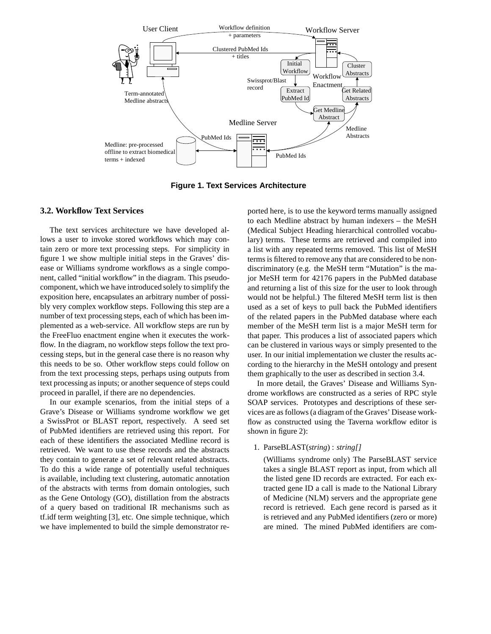

**Figure 1. Text Services Architecture**

# **3.2. Workflow Text Services**

The text services architecture we have developed allows a user to invoke stored workflows which may contain zero or more text processing steps. For simplicity in figure 1 we show multiple initial steps in the Graves' disease or Williams syndrome workflows as a single component, called "initial workflow" in the diagram. This pseudocomponent, which we have introduced solely to simplify the exposition here, encapsulates an arbitrary number of possibly very complex workflow steps. Following this step are a number of text processing steps, each of which has been implemented as a web-service. All workflow steps are run by the FreeFluo enactment engine when it executes the workflow. In the diagram, no workflow steps follow the text processing steps, but in the general case there is no reason why this needs to be so. Other workflow steps could follow on from the text processing steps, perhaps using outputs from text processing as inputs; or another sequence of steps could proceed in parallel, if there are no dependencies.

In our example scenarios, from the initial steps of a Grave's Disease or Williams syndrome workflow we get a SwissProt or BLAST report, respectively. A seed set of PubMed identifiers are retrieved using this report. For each of these identifiers the associated Medline record is retrieved. We want to use these records and the abstracts they contain to generate a set of relevant related abstracts. To do this a wide range of potentially useful techniques is available, including text clustering, automatic annotation of the abstracts with terms from domain ontologies, such as the Gene Ontology (GO), distillation from the abstracts of a query based on traditional IR mechanisms such as tf.idf term weighting [3], etc. One simple technique, which we have implemented to build the simple demonstrator reported here, is to use the keyword terms manually assigned to each Medline abstract by human indexers – the MeSH (Medical Subject Heading hierarchical controlled vocabulary) terms. These terms are retrieved and compiled into a list with any repeated terms removed. This list of MeSH terms is filtered to remove any that are considered to be nondiscriminatory (e.g. the MeSH term "Mutation" is the major MeSH term for 42176 papers in the PubMed database and returning a list of this size for the user to look through would not be helpful.) The filtered MeSH term list is then used as a set of keys to pull back the PubMed identifiers of the related papers in the PubMed database where each member of the MeSH term list is a major MeSH term for that paper. This produces a list of associated papers which can be clustered in various ways or simply presented to the user. In our initial implementation we cluster the results according to the hierarchy in the MeSH ontology and present them graphically to the user as described in section 3.4.

In more detail, the Graves' Disease and Williams Syndrome workflows are constructed as a series of RPC style SOAP services. Prototypes and descriptions of these services are as follows(a diagram of the Graves' Disease workflow as constructed using the Taverna workflow editor is shown in figure 2):

#### 1. ParseBLAST(*string*) : *string[]*

(Williams syndrome only) The ParseBLAST service takes a single BLAST report as input, from which all the listed gene ID records are extracted. For each extracted gene ID a call is made to the National Library of Medicine (NLM) servers and the appropriate gene record is retrieved. Each gene record is parsed as it is retrieved and any PubMed identifiers (zero or more) are mined. The mined PubMed identifiers are com-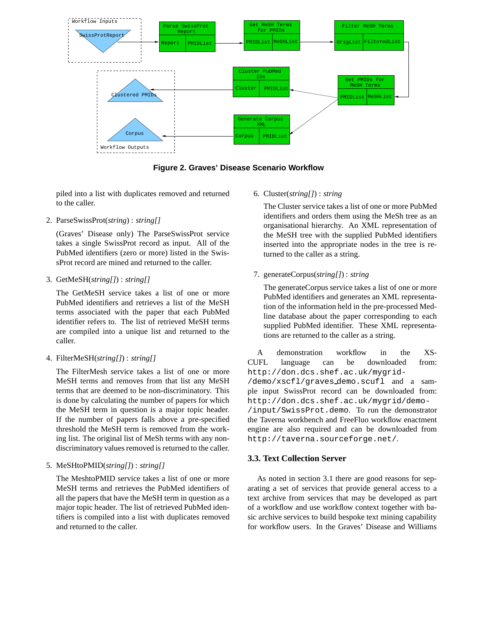

**Figure 2. Graves' Disease Scenario Workflow**

piled into a list with duplicates removed and returned to the caller.

#### 2. ParseSwissProt(*string*) : *string[]*

(Graves' Disease only) The ParseSwissProt service takes a single SwissProt record as input. All of the PubMed identifiers (zero or more) listed in the SwissProt record are mined and returned to the caller.

# 3. GetMeSH(*string[]*) : *string[]*

The GetMeSH service takes a list of one or more PubMed identifiers and retrieves a list of the MeSH terms associated with the paper that each PubMed identifier refers to. The list of retrieved MeSH terms are compiled into a unique list and returned to the caller.

#### 4. FilterMeSH(*string[]*) : *string[]*

The FilterMesh service takes a list of one or more MeSH terms and removes from that list any MeSH terms that are deemed to be non-discriminatory. This is done by calculating the number of papers for which the MeSH term in question is a major topic header. If the number of papers falls above a pre-specified threshold the MeSH term is removed from the working list. The original list of MeSh terms with any nondiscriminatory values removed is returned to the caller.

#### 5. MeSHtoPMID(*string[]*) : *string[]*

The MeshtoPMID service takes a list of one or more MeSH terms and retrieves the PubMed identifiers of all the papers that have the MeSH term in question as a major topic header. The list of retrieved PubMed identifiers is compiled into a list with duplicates removed and returned to the caller.

# 6. Cluster(*string[]*) : *string*

The Cluster service takes a list of one or more PubMed identifiers and orders them using the MeSh tree as an organisational hierarchy. An XML representation of the MeSH tree with the supplied PubMed identifiers inserted into the appropriate nodes in the tree is returned to the caller as a string.

# 7. generateCorpus(*string[]*) : *string*

The generateCorpus service takes a list of one or more PubMed identifiers and generates an XML representation of the information held in the pre-processed Medline database about the paper corresponding to each supplied PubMed identifier. These XML representations are returned to the caller as a string.

A demonstration workflow in the XS-CUFL language can be downloaded from: http://don.dcs.shef.ac.uk/mygrid-

/demo/xscfl/graves demo.scufl and a sample input SwissProt record can be downloaded from: http://don.dcs.shef.ac.uk/mygrid/demo- /input/SwissProt.demo. To run the demonstrator the Taverna workbench and FreeFluo workflow enactment engine are also required and can be downloaded from http://taverna.sourceforge.net/.

#### **3.3. Text Collection Server**

As noted in section 3.1 there are good reasons for separating a set of services that provide general access to a text archive from services that may be developed as part of a workflow and use workflow context together with basic archive services to build bespoke text mining capability for workflow users. In the Graves' Disease and Williams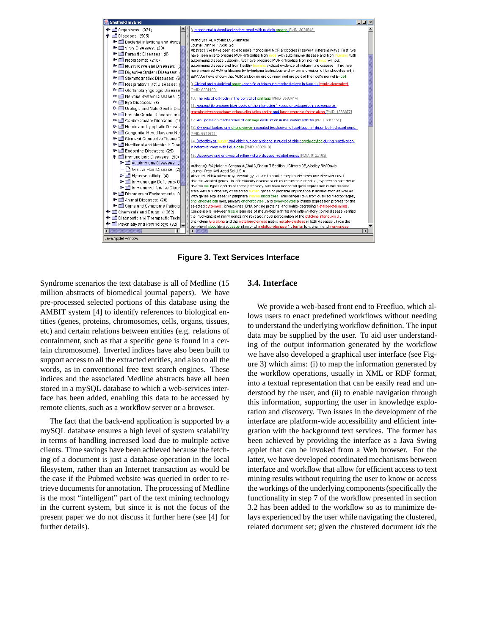

**Figure 3. Text Services Interface**

Syndrome scenarios the text database is all of Medline (15 million abstracts of biomedical journal papers). We have pre-processed selected portions of this database using the AMBIT system [4] to identify references to biological entities (genes, proteins, chromosomes, cells, organs, tissues, etc) and certain relations between entities (e.g. relations of containment, such as that a specific gene is found in a certain chromosome). Inverted indices have also been built to support access to all the extracted entities, and also to all the words, as in conventional free text search engines. These indices and the associated Medline abstracts have all been stored in a mySQL database to which a web-services interface has been added, enabling this data to be accessed by remote clients, such as a workflow server or a browser.

The fact that the back-end application is supported by a mySQL database ensures a high level of system scalability in terms of handling increased load due to multiple active clients. Time savings have been achieved because the fetching of a document is just a database operation in the local filesystem, rather than an Internet transaction as would be the case if the Pubmed website was queried in order to retrieve documents for annotation. The processing of Medline is the most "intelligent" part of the text mining technology in the current system, but since it is not the focus of the present paper we do not discuss it further here (see [4] for further details).

# **3.4. Interface**

We provide a web-based front end to Freefluo, which allows users to enact predefined workflows without needing to understand the underlying workflow definition. The input data may be supplied by the user. To aid user understanding of the output information generated by the workflow we have also developed a graphical user interface (see Figure 3) which aims: (i) to map the information generated by the workflow operations, usually in XML or RDF format, into a textual representation that can be easily read and understood by the user, and (ii) to enable navigation through this information, supporting the user in knowledge exploration and discovery. Two issues in the development of the interface are platform-wide accessibility and efficient integration with the background text services. The former has been achieved by providing the interface as a Java Swing applet that can be invoked from a Web browser. For the latter, we have developed coordinated mechanisms between interface and workflow that allow for efficient access to text mining results without requiring the user to know or access the workings of the underlying components(specifically the functionality in step 7 of the workflow presented in section 3.2 has been added to the workflow so as to minimize delays experienced by the user while navigating the clustered, related document set; given the clustered document *ids* the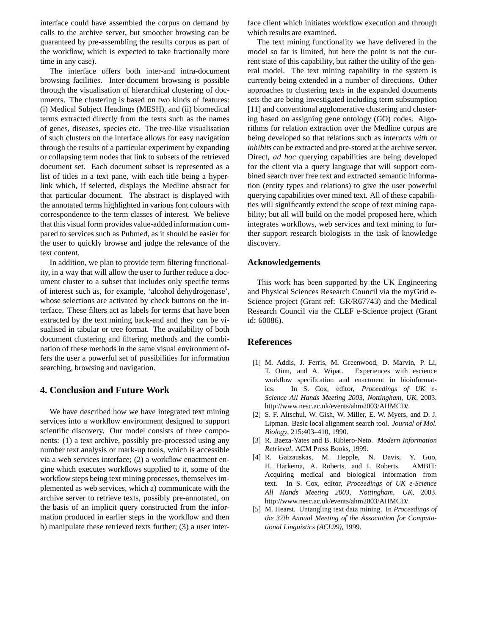interface could have assembled the corpus on demand by calls to the archive server, but smoother browsing can be guaranteed by pre-assembling the results corpus as part of the workflow, which is expected to take fractionally more time in any case).

The interface offers both inter-and intra-document browsing facilities. Inter-document browsing is possible through the visualisation of hierarchical clustering of documents. The clustering is based on two kinds of features: (i) Medical Subject Headings (MESH), and (ii) biomedical terms extracted directly from the texts such as the names of genes, diseases, species etc. The tree-like visualisation of such clusters on the interface allows for easy navigation through the results of a particular experiment by expanding or collapsing term nodes that link to subsets of the retrieved document set. Each document subset is represented as a list of titles in a text pane, with each title being a hyperlink which, if selected, displays the Medline abstract for that particular document. The abstract is displayed with the annotated terms highlighted in various font colours with correspondence to the term classes of interest. We believe that this visual form provides value-added information compared to services such as Pubmed, as it should be easier for the user to quickly browse and judge the relevance of the text content.

In addition, we plan to provide term filtering functionality, in a way that will allow the user to further reduce a document cluster to a subset that includes only specific terms of interest such as, for example, 'alcohol dehydrogenase', whose selections are activated by check buttons on the interface. These filters act as labels for terms that have been extracted by the text mining back-end and they can be visualised in tabular or tree format. The availability of both document clustering and filtering methods and the combination of these methods in the same visual environment offers the user a powerful set of possibilities for information searching, browsing and navigation.

# **4. Conclusion and Future Work**

We have described how we have integrated text mining services into a workflow environment designed to support scientific discovery. Our model consists of three components: (1) a text archive, possibly pre-processed using any number text analysis or mark-up tools, which is accessible via a web services interface; (2) a workflow enactment engine which executes workflows supplied to it, some of the workflow steps being text mining processes, themselves implemented as web services, which a) communicate with the archive server to retrieve texts, possibly pre-annotated, on the basis of an implicit query constructed from the information produced in earlier steps in the workflow and then b) manipulate these retrieved texts further; (3) a user interface client which initiates workflow execution and through which results are examined.

The text mining functionality we have delivered in the model so far is limited, but here the point is not the current state of this capability, but rather the utility of the general model. The text mining capability in the system is currently being extended in a number of directions. Other approaches to clustering texts in the expanded documents sets the are being investigated including term subsumption [11] and conventional agglomerative clustering and clustering based on assigning gene ontology (GO) codes. Algorithms for relation extraction over the Medline corpus are being developed so that relations such as *interacts with* or *inhibits* can be extracted and pre-stored at the archive server. Direct, *ad hoc* querying capabilities are being developed for the client via a query language that will support combined search over free text and extracted semantic information (entity types and relations) to give the user powerful querying capabilities over mined text. All of these capabilities will significantly extend the scope of text mining capability; but all will build on the model proposed here, which integrates workflows, web services and text mining to further support research biologists in the task of knowledge discovery.

#### **Acknowledgements**

This work has been supported by the UK Engineering and Physical Sciences Research Council via the myGrid e-Science project (Grant ref: GR/R67743) and the Medical Research Council via the CLEF e-Science project (Grant id: 60086).

# **References**

- [1] M. Addis, J. Ferris, M. Greenwood, D. Marvin, P. Li, T. Oinn, and A. Wipat. Experiences with escience workflow specification and enactment in bioinformatics. In S. Cox, editor, *Proceedings of UK e-Science All Hands Meeting 2003, Nottingham, UK*, 2003. http://www.nesc.ac.uk/events/ahm2003/AHMCD/.
- [2] S. F. Altschul, W. Gish, W. Miller, E. W. Myers, and D. J. Lipman. Basic local alignment search tool. *Journal of Mol. Biology*, 215:403–410, 1990.
- [3] R. Baeza-Yates and B. Ribiero-Neto. *Modern Information Retrieval*. ACM Press Books, 1999.
- [4] R. Gaizauskas, M. Hepple, N. Davis, Y. Guo, H. Harkema, A. Roberts, and I. Roberts. AMBIT: Acquiring medical and biological information from text. In S. Cox, editor, *Proceedings of UK e-Science All Hands Meeting 2003, Nottingham, UK*, 2003. http://www.nesc.ac.uk/events/ahm2003/AHMCD/.
- [5] M. Hearst. Untangling text data mining. In *Proceedings of the 37th Annual Meeting of the Association for Computational Linguistics (ACL99)*, 1999.